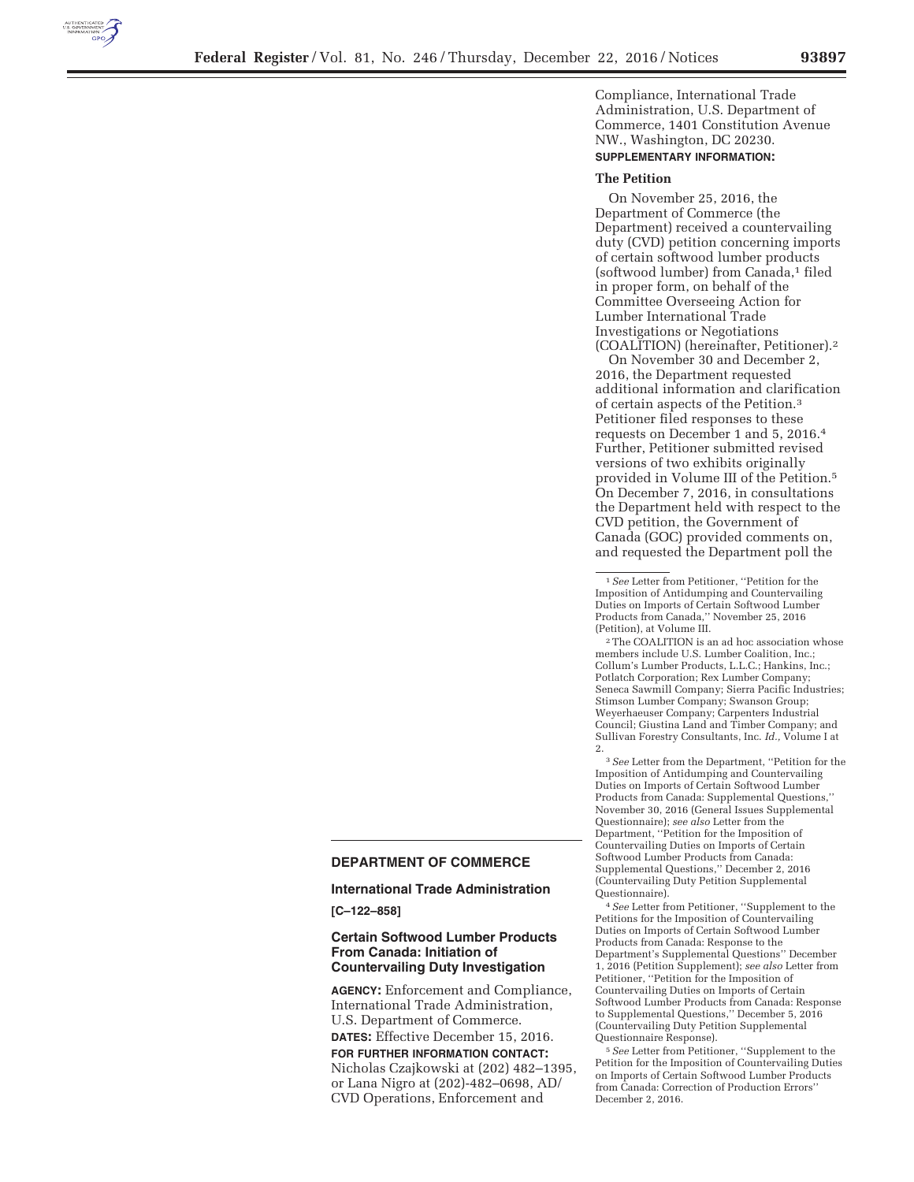

Compliance, International Trade Administration, U.S. Department of Commerce, 1401 Constitution Avenue NW., Washington, DC 20230. **SUPPLEMENTARY INFORMATION:** 

#### **The Petition**

On November 25, 2016, the Department of Commerce (the Department) received a countervailing duty (CVD) petition concerning imports of certain softwood lumber products (softwood lumber) from Canada,<sup>1</sup> filed in proper form, on behalf of the Committee Overseeing Action for Lumber International Trade Investigations or Negotiations (COALITION) (hereinafter, Petitioner).2

On November 30 and December 2, 2016, the Department requested additional information and clarification of certain aspects of the Petition.3 Petitioner filed responses to these requests on December 1 and 5, 2016.4 Further, Petitioner submitted revised versions of two exhibits originally provided in Volume III of the Petition.5 On December 7, 2016, in consultations the Department held with respect to the CVD petition, the Government of Canada (GOC) provided comments on, and requested the Department poll the

 $^{\rm 2}$  The COALITION is an ad hoc association whose members include U.S. Lumber Coalition, Inc.; Collum's Lumber Products, L.L.C.; Hankins, Inc.; Potlatch Corporation; Rex Lumber Company; Seneca Sawmill Company; Sierra Pacific Industries; Stimson Lumber Company; Swanson Group; Weyerhaeuser Company; Carpenters Industrial Council; Giustina Land and Timber Company; and Sullivan Forestry Consultants, Inc. *Id.,* Volume I at 2.

3*See* Letter from the Department, ''Petition for the Imposition of Antidumping and Countervailing Duties on Imports of Certain Softwood Lumber Products from Canada: Supplemental Questions,'' November 30, 2016 (General Issues Supplemental Questionnaire); *see also* Letter from the Department, ''Petition for the Imposition of Countervailing Duties on Imports of Certain Softwood Lumber Products from Canada: Supplemental Questions,'' December 2, 2016 (Countervailing Duty Petition Supplemental Questionnaire).

4*See* Letter from Petitioner, ''Supplement to the Petitions for the Imposition of Countervailing Duties on Imports of Certain Softwood Lumber Products from Canada: Response to the Department's Supplemental Questions'' December 1, 2016 (Petition Supplement); *see also* Letter from Petitioner, ''Petition for the Imposition of Countervailing Duties on Imports of Certain Softwood Lumber Products from Canada: Response to Supplemental Questions,'' December 5, 2016 (Countervailing Duty Petition Supplemental Questionnaire Response).

5*See* Letter from Petitioner, ''Supplement to the Petition for the Imposition of Countervailing Duties on Imports of Certain Softwood Lumber Products from Canada: Correction of Production Errors'' December 2, 2016.

# **DEPARTMENT OF COMMERCE**

### **International Trade Administration**

**[C–122–858]** 

# **Certain Softwood Lumber Products From Canada: Initiation of Countervailing Duty Investigation**

**AGENCY:** Enforcement and Compliance, International Trade Administration, U.S. Department of Commerce. **DATES:** Effective December 15, 2016. **FOR FURTHER INFORMATION CONTACT:**  Nicholas Czajkowski at (202) 482–1395, or Lana Nigro at (202)-482–0698, AD/ CVD Operations, Enforcement and

<sup>1</sup>*See* Letter from Petitioner, ''Petition for the Imposition of Antidumping and Countervailing Duties on Imports of Certain Softwood Lumber Products from Canada,'' November 25, 2016 (Petition), at Volume III.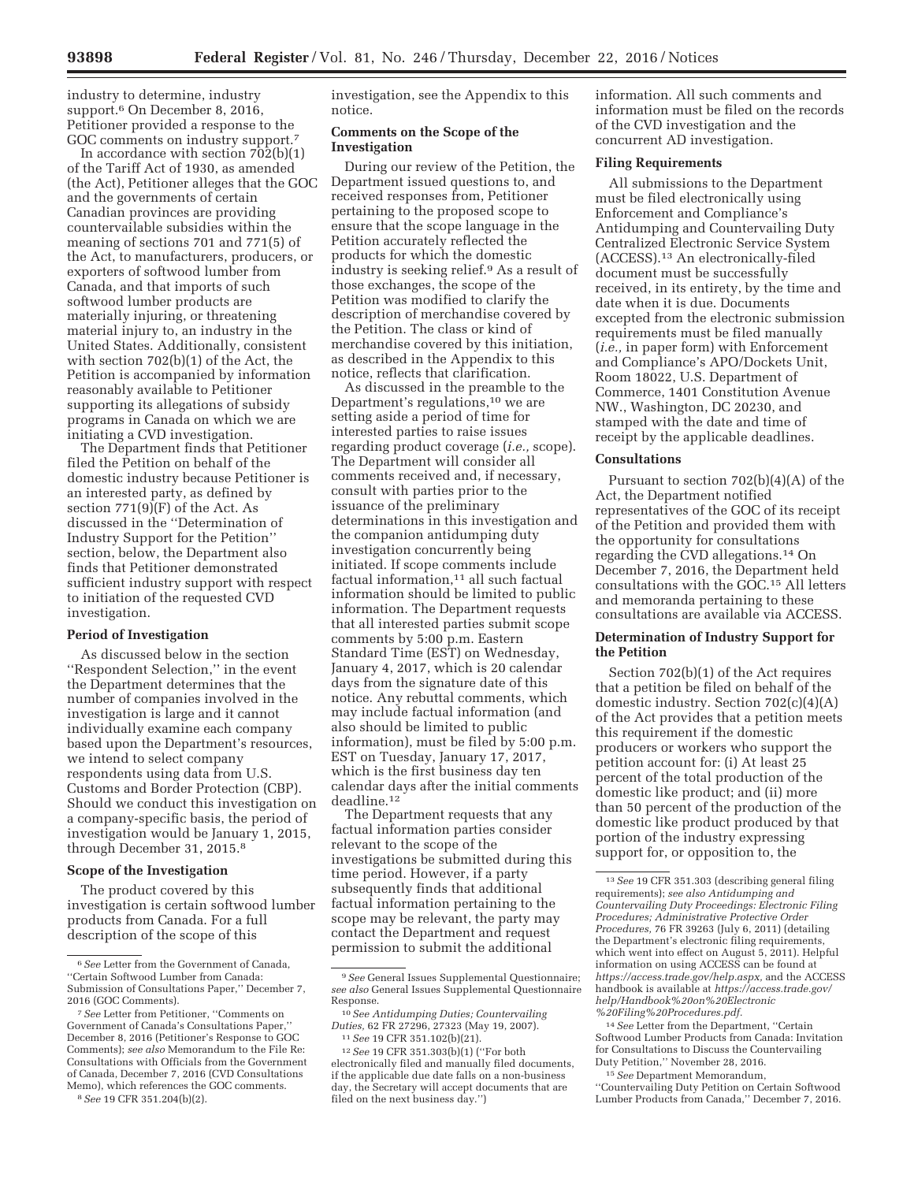industry to determine, industry support.<sup>6</sup> On December 8, 2016, Petitioner provided a response to the GOC comments on industry support.7

In accordance with section  $702(b)(1)$ of the Tariff Act of 1930, as amended (the Act), Petitioner alleges that the GOC and the governments of certain Canadian provinces are providing countervailable subsidies within the meaning of sections 701 and 771(5) of the Act, to manufacturers, producers, or exporters of softwood lumber from Canada, and that imports of such softwood lumber products are materially injuring, or threatening material injury to, an industry in the United States. Additionally, consistent with section 702(b)(1) of the Act, the Petition is accompanied by information reasonably available to Petitioner supporting its allegations of subsidy programs in Canada on which we are initiating a CVD investigation.

The Department finds that Petitioner filed the Petition on behalf of the domestic industry because Petitioner is an interested party, as defined by section  $771(9)$ (F) of the Act. As discussed in the ''Determination of Industry Support for the Petition'' section, below, the Department also finds that Petitioner demonstrated sufficient industry support with respect to initiation of the requested CVD investigation.

#### **Period of Investigation**

As discussed below in the section ''Respondent Selection,'' in the event the Department determines that the number of companies involved in the investigation is large and it cannot individually examine each company based upon the Department's resources, we intend to select company respondents using data from U.S. Customs and Border Protection (CBP). Should we conduct this investigation on a company-specific basis, the period of investigation would be January 1, 2015, through December 31, 2015.8

### **Scope of the Investigation**

The product covered by this investigation is certain softwood lumber products from Canada. For a full description of the scope of this

investigation, see the Appendix to this notice.

#### **Comments on the Scope of the Investigation**

During our review of the Petition, the Department issued questions to, and received responses from, Petitioner pertaining to the proposed scope to ensure that the scope language in the Petition accurately reflected the products for which the domestic industry is seeking relief.9 As a result of those exchanges, the scope of the Petition was modified to clarify the description of merchandise covered by the Petition. The class or kind of merchandise covered by this initiation, as described in the Appendix to this notice, reflects that clarification.

As discussed in the preamble to the Department's regulations,10 we are setting aside a period of time for interested parties to raise issues regarding product coverage (*i.e.,* scope). The Department will consider all comments received and, if necessary, consult with parties prior to the issuance of the preliminary determinations in this investigation and the companion antidumping duty investigation concurrently being initiated. If scope comments include factual information,<sup>11</sup> all such factual information should be limited to public information. The Department requests that all interested parties submit scope comments by 5:00 p.m. Eastern Standard Time (EST) on Wednesday, January 4, 2017, which is 20 calendar days from the signature date of this notice. Any rebuttal comments, which may include factual information (and also should be limited to public information), must be filed by 5:00 p.m. EST on Tuesday, January 17, 2017, which is the first business day ten calendar days after the initial comments deadline.12

The Department requests that any factual information parties consider relevant to the scope of the investigations be submitted during this time period. However, if a party subsequently finds that additional factual information pertaining to the scope may be relevant, the party may contact the Department and request permission to submit the additional

information. All such comments and information must be filed on the records of the CVD investigation and the concurrent AD investigation.

### **Filing Requirements**

All submissions to the Department must be filed electronically using Enforcement and Compliance's Antidumping and Countervailing Duty Centralized Electronic Service System (ACCESS).13 An electronically-filed document must be successfully received, in its entirety, by the time and date when it is due. Documents excepted from the electronic submission requirements must be filed manually (*i.e.,* in paper form) with Enforcement and Compliance's APO/Dockets Unit, Room 18022, U.S. Department of Commerce, 1401 Constitution Avenue NW., Washington, DC 20230, and stamped with the date and time of receipt by the applicable deadlines.

#### **Consultations**

Pursuant to section 702(b)(4)(A) of the Act, the Department notified representatives of the GOC of its receipt of the Petition and provided them with the opportunity for consultations regarding the CVD allegations.14 On December 7, 2016, the Department held consultations with the GOC.15 All letters and memoranda pertaining to these consultations are available via ACCESS.

# **Determination of Industry Support for the Petition**

Section 702(b)(1) of the Act requires that a petition be filed on behalf of the domestic industry. Section 702(c)(4)(A) of the Act provides that a petition meets this requirement if the domestic producers or workers who support the petition account for: (i) At least 25 percent of the total production of the domestic like product; and (ii) more than 50 percent of the production of the domestic like product produced by that portion of the industry expressing support for, or opposition to, the

''Countervailing Duty Petition on Certain Softwood Lumber Products from Canada,'' December 7, 2016.

<sup>6</sup>*See* Letter from the Government of Canada, ''Certain Softwood Lumber from Canada: Submission of Consultations Paper,'' December 7, 2016 (GOC Comments).

<sup>7</sup>*See* Letter from Petitioner, ''Comments on Government of Canada's Consultations Paper,'' December 8, 2016 (Petitioner's Response to GOC Comments); *see also* Memorandum to the File Re: Consultations with Officials from the Government of Canada, December 7, 2016 (CVD Consultations Memo), which references the GOC comments.

<sup>8</sup>*See* 19 CFR 351.204(b)(2).

<sup>9</sup>*See* General Issues Supplemental Questionnaire; *see also* General Issues Supplemental Questionnaire

 $^{10}\,See$  Antidumping Duties; Countervailing *Duties,* 62 FR 27296, 27323 (May 19, 2007). 11*See* 19 CFR 351.102(b)(21). 12*See* 19 CFR 351.303(b)(1) (''For both

electronically filed and manually filed documents, if the applicable due date falls on a non-business day, the Secretary will accept documents that are filed on the next business day.'')

<sup>13</sup>*See* 19 CFR 351.303 (describing general filing requirements); *see also Antidumping and Countervailing Duty Proceedings: Electronic Filing Procedures; Administrative Protective Order Procedures,* 76 FR 39263 (July 6, 2011) (detailing the Department's electronic filing requirements, which went into effect on August 5, 2011). Helpful information on using ACCESS can be found at *https://access.trade.gov/help.aspx,* and the ACCESS handbook is available at *https://access.trade.gov/ help/Handbook%20on%20Electronic %20Filing%20Procedures.pdf.* 

<sup>14</sup>*See* Letter from the Department, ''Certain Softwood Lumber Products from Canada: Invitation for Consultations to Discuss the Countervailing Duty Petition,'' November 28, 2016.

<sup>15</sup>*See* Department Memorandum,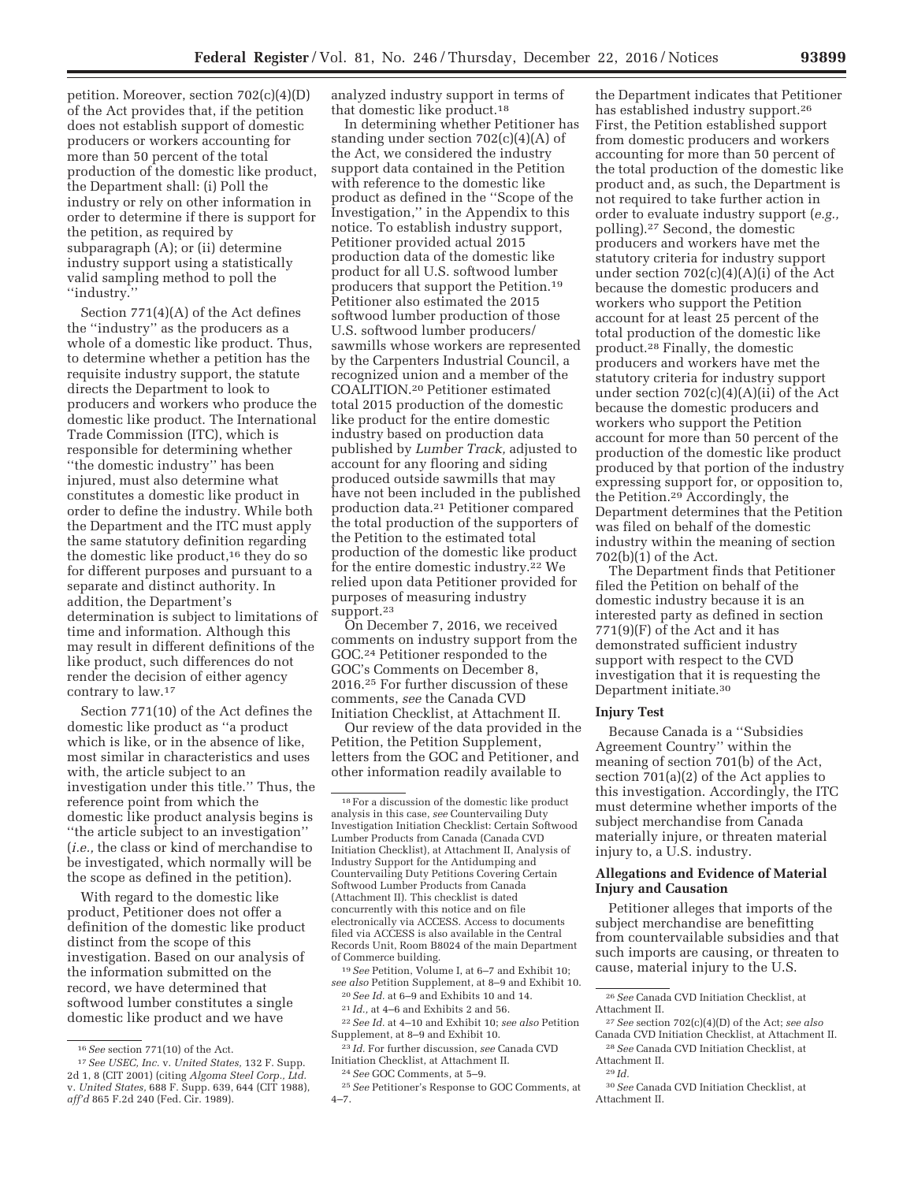petition. Moreover, section 702(c)(4)(D) of the Act provides that, if the petition does not establish support of domestic producers or workers accounting for more than 50 percent of the total production of the domestic like product, the Department shall: (i) Poll the industry or rely on other information in order to determine if there is support for the petition, as required by subparagraph (A); or (ii) determine industry support using a statistically valid sampling method to poll the ''industry.''

Section 771(4)(A) of the Act defines the ''industry'' as the producers as a whole of a domestic like product. Thus, to determine whether a petition has the requisite industry support, the statute directs the Department to look to producers and workers who produce the domestic like product. The International Trade Commission (ITC), which is responsible for determining whether ''the domestic industry'' has been injured, must also determine what constitutes a domestic like product in order to define the industry. While both the Department and the ITC must apply the same statutory definition regarding the domestic like product,16 they do so for different purposes and pursuant to a separate and distinct authority. In addition, the Department's determination is subject to limitations of time and information. Although this may result in different definitions of the like product, such differences do not render the decision of either agency contrary to law.17

Section 771(10) of the Act defines the domestic like product as ''a product which is like, or in the absence of like, most similar in characteristics and uses with, the article subject to an investigation under this title.'' Thus, the reference point from which the domestic like product analysis begins is ''the article subject to an investigation'' (*i.e.,* the class or kind of merchandise to be investigated, which normally will be the scope as defined in the petition).

With regard to the domestic like product, Petitioner does not offer a definition of the domestic like product distinct from the scope of this investigation. Based on our analysis of the information submitted on the record, we have determined that softwood lumber constitutes a single domestic like product and we have

analyzed industry support in terms of that domestic like product.18

In determining whether Petitioner has standing under section 702(c)(4)(A) of the Act, we considered the industry support data contained in the Petition with reference to the domestic like product as defined in the ''Scope of the Investigation,'' in the Appendix to this notice. To establish industry support, Petitioner provided actual 2015 production data of the domestic like product for all U.S. softwood lumber producers that support the Petition.19 Petitioner also estimated the 2015 softwood lumber production of those U.S. softwood lumber producers/ sawmills whose workers are represented by the Carpenters Industrial Council, a recognized union and a member of the COALITION.20 Petitioner estimated total 2015 production of the domestic like product for the entire domestic industry based on production data published by *Lumber Track,* adjusted to account for any flooring and siding produced outside sawmills that may have not been included in the published production data.21 Petitioner compared the total production of the supporters of the Petition to the estimated total production of the domestic like product for the entire domestic industry.22 We relied upon data Petitioner provided for purposes of measuring industry support.23

On December 7, 2016, we received comments on industry support from the GOC.24 Petitioner responded to the GOC's Comments on December 8, 2016.25 For further discussion of these comments, *see* the Canada CVD Initiation Checklist, at Attachment II.

Our review of the data provided in the Petition, the Petition Supplement, letters from the GOC and Petitioner, and other information readily available to

the Department indicates that Petitioner has established industry support.26 First, the Petition established support from domestic producers and workers accounting for more than 50 percent of the total production of the domestic like product and, as such, the Department is not required to take further action in order to evaluate industry support (*e.g.,*  polling).27 Second, the domestic producers and workers have met the statutory criteria for industry support under section  $702(c)(4)(A)(i)$  of the Act because the domestic producers and workers who support the Petition account for at least 25 percent of the total production of the domestic like product.28 Finally, the domestic producers and workers have met the statutory criteria for industry support under section 702(c)(4)(A)(ii) of the Act because the domestic producers and workers who support the Petition account for more than 50 percent of the production of the domestic like product produced by that portion of the industry expressing support for, or opposition to, the Petition.29 Accordingly, the Department determines that the Petition was filed on behalf of the domestic industry within the meaning of section 702(b)(1) of the Act.

The Department finds that Petitioner filed the Petition on behalf of the domestic industry because it is an interested party as defined in section 771(9)(F) of the Act and it has demonstrated sufficient industry support with respect to the CVD investigation that it is requesting the Department initiate.30

# **Injury Test**

Because Canada is a ''Subsidies Agreement Country'' within the meaning of section 701(b) of the Act, section 701(a)(2) of the Act applies to this investigation. Accordingly, the ITC must determine whether imports of the subject merchandise from Canada materially injure, or threaten material injury to, a U.S. industry.

# **Allegations and Evidence of Material Injury and Causation**

Petitioner alleges that imports of the subject merchandise are benefitting from countervailable subsidies and that such imports are causing, or threaten to cause, material injury to the U.S.

<sup>16</sup>*See* section 771(10) of the Act.

<sup>17</sup>*See USEC, Inc.* v. *United States,* 132 F. Supp. 2d 1, 8 (CIT 2001) (citing *Algoma Steel Corp., Ltd.*  v. *United States,* 688 F. Supp. 639, 644 (CIT 1988), *aff'd* 865 F.2d 240 (Fed. Cir. 1989).

 $^{\rm 18}\, \mathrm{For}$  a discussion of the domestic like product analysis in this case, *see* Countervailing Duty Investigation Initiation Checklist: Certain Softwood Lumber Products from Canada (Canada CVD Initiation Checklist), at Attachment II, Analysis of Industry Support for the Antidumping and Countervailing Duty Petitions Covering Certain Softwood Lumber Products from Canada (Attachment II). This checklist is dated concurrently with this notice and on file electronically via ACCESS. Access to documents filed via ACCESS is also available in the Central Records Unit, Room B8024 of the main Department of Commerce building.

<sup>19</sup>*See* Petition, Volume I, at 6–7 and Exhibit 10; *see also* Petition Supplement, at 8–9 and Exhibit 10.

<sup>20</sup>*See Id.* at 6–9 and Exhibits 10 and 14. 21 *Id.,* at 4–6 and Exhibits 2 and 56.

<sup>22</sup>*See Id.* at 4–10 and Exhibit 10; *see also* Petition Supplement, at 8–9 and Exhibit 10.

*Id.* For further discussion, see Canada CVD Initiation Checklist, at Attachment II.

<sup>24</sup>*See* GOC Comments, at 5–9.

<sup>25</sup>*See* Petitioner's Response to GOC Comments, at 4–7.

<sup>26</sup>*See* Canada CVD Initiation Checklist, at Attachment II.

<sup>27</sup>*See* section 702(c)(4)(D) of the Act; *see also*  Canada CVD Initiation Checklist, at Attachment II. 28*See* Canada CVD Initiation Checklist, at

Attachment II.

<sup>29</sup> *Id.* 

<sup>30</sup>*See* Canada CVD Initiation Checklist, at Attachment II.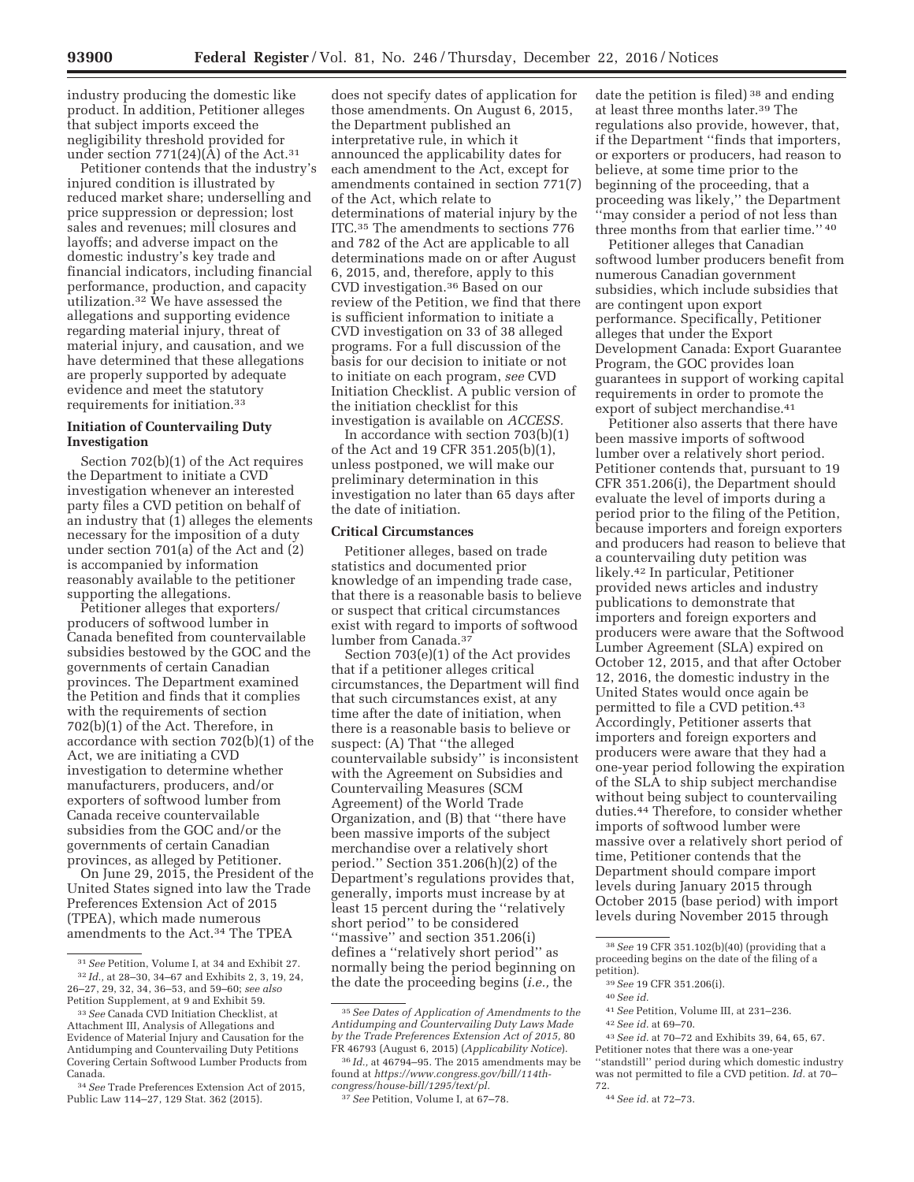industry producing the domestic like product. In addition, Petitioner alleges that subject imports exceed the negligibility threshold provided for under section 771(24)( $\tilde{A}$ ) of the Act.<sup>31</sup>

Petitioner contends that the industry's injured condition is illustrated by reduced market share; underselling and price suppression or depression; lost sales and revenues; mill closures and layoffs; and adverse impact on the domestic industry's key trade and financial indicators, including financial performance, production, and capacity utilization.32 We have assessed the allegations and supporting evidence regarding material injury, threat of material injury, and causation, and we have determined that these allegations are properly supported by adequate evidence and meet the statutory requirements for initiation.33

# **Initiation of Countervailing Duty Investigation**

Section 702(b)(1) of the Act requires the Department to initiate a CVD investigation whenever an interested party files a CVD petition on behalf of an industry that (1) alleges the elements necessary for the imposition of a duty under section 701(a) of the Act and (2) is accompanied by information reasonably available to the petitioner supporting the allegations.

Petitioner alleges that exporters/ producers of softwood lumber in Canada benefited from countervailable subsidies bestowed by the GOC and the governments of certain Canadian provinces. The Department examined the Petition and finds that it complies with the requirements of section 702(b)(1) of the Act. Therefore, in accordance with section 702(b)(1) of the Act, we are initiating a CVD investigation to determine whether manufacturers, producers, and/or exporters of softwood lumber from Canada receive countervailable subsidies from the GOC and/or the governments of certain Canadian provinces, as alleged by Petitioner.

On June 29, 2015, the President of the United States signed into law the Trade Preferences Extension Act of 2015 (TPEA), which made numerous amendments to the Act.34 The TPEA

does not specify dates of application for those amendments. On August 6, 2015, the Department published an interpretative rule, in which it announced the applicability dates for each amendment to the Act, except for amendments contained in section 771(7) of the Act, which relate to determinations of material injury by the ITC.35 The amendments to sections 776 and 782 of the Act are applicable to all determinations made on or after August 6, 2015, and, therefore, apply to this CVD investigation.36 Based on our review of the Petition, we find that there is sufficient information to initiate a CVD investigation on 33 of 38 alleged programs. For a full discussion of the basis for our decision to initiate or not to initiate on each program, *see* CVD Initiation Checklist. A public version of the initiation checklist for this investigation is available on *ACCESS.* 

In accordance with section 703(b)(1) of the Act and 19 CFR 351.205(b)(1), unless postponed, we will make our preliminary determination in this investigation no later than 65 days after the date of initiation.

### **Critical Circumstances**

Petitioner alleges, based on trade statistics and documented prior knowledge of an impending trade case, that there is a reasonable basis to believe or suspect that critical circumstances exist with regard to imports of softwood lumber from Canada.37

Section 703(e)(1) of the Act provides that if a petitioner alleges critical circumstances, the Department will find that such circumstances exist, at any time after the date of initiation, when there is a reasonable basis to believe or suspect: (A) That ''the alleged countervailable subsidy'' is inconsistent with the Agreement on Subsidies and Countervailing Measures (SCM Agreement) of the World Trade Organization, and (B) that ''there have been massive imports of the subject merchandise over a relatively short period." Section  $351.206(h)(2)$  of the Department's regulations provides that, generally, imports must increase by at least 15 percent during the ''relatively short period'' to be considered ''massive'' and section 351.206(i) defines a ''relatively short period'' as normally being the period beginning on the date the proceeding begins (*i.e.,* the

date the petition is filed) 38 and ending at least three months later.39 The regulations also provide, however, that, if the Department ''finds that importers, or exporters or producers, had reason to believe, at some time prior to the beginning of the proceeding, that a proceeding was likely,'' the Department ''may consider a period of not less than three months from that earlier time.'' 40

Petitioner alleges that Canadian softwood lumber producers benefit from numerous Canadian government subsidies, which include subsidies that are contingent upon export performance. Specifically, Petitioner alleges that under the Export Development Canada: Export Guarantee Program, the GOC provides loan guarantees in support of working capital requirements in order to promote the export of subject merchandise.<sup>41</sup>

Petitioner also asserts that there have been massive imports of softwood lumber over a relatively short period. Petitioner contends that, pursuant to 19 CFR 351.206(i), the Department should evaluate the level of imports during a period prior to the filing of the Petition, because importers and foreign exporters and producers had reason to believe that a countervailing duty petition was likely.42 In particular, Petitioner provided news articles and industry publications to demonstrate that importers and foreign exporters and producers were aware that the Softwood Lumber Agreement (SLA) expired on October 12, 2015, and that after October 12, 2016, the domestic industry in the United States would once again be permitted to file a CVD petition.43 Accordingly, Petitioner asserts that importers and foreign exporters and producers were aware that they had a one-year period following the expiration of the SLA to ship subject merchandise without being subject to countervailing duties.44 Therefore, to consider whether imports of softwood lumber were massive over a relatively short period of time, Petitioner contends that the Department should compare import levels during January 2015 through October 2015 (base period) with import levels during November 2015 through

41*See* Petition, Volume III, at 231–236.

Petitioner notes that there was a one-year ''standstill'' period during which domestic industry was not permitted to file a CVD petition. *Id.* at 70– 72.

<sup>31</sup>*See* Petition, Volume I, at 34 and Exhibit 27. 32 *Id.,* at 28–30, 34–67 and Exhibits 2, 3, 19, 24, 26–27, 29, 32, 34, 36–53, and 59–60; *see also*  Petition Supplement, at 9 and Exhibit 59.

<sup>33</sup>*See* Canada CVD Initiation Checklist, at Attachment III, Analysis of Allegations and Evidence of Material Injury and Causation for the Antidumping and Countervailing Duty Petitions Covering Certain Softwood Lumber Products from Canada.

<sup>34</sup>*See* Trade Preferences Extension Act of 2015, Public Law 114–27, 129 Stat. 362 (2015).

<sup>35</sup>*See Dates of Application of Amendments to the Antidumping and Countervailing Duty Laws Made by the Trade Preferences Extension Act of 2015,* 80 FR 46793 (August 6, 2015) (*Applicability Notice*).

<sup>36</sup> *Id.,* at 46794–95. The 2015 amendments may be found at *https://www.congress.gov/bill/114thcongress/house-bill/1295/text/pl.* 

<sup>37</sup>*See* Petition, Volume I, at 67–78.

<sup>38</sup>*See* 19 CFR 351.102(b)(40) (providing that a proceeding begins on the date of the filing of a petition).

<sup>39</sup>*See* 19 CFR 351.206(i).

<sup>40</sup>*See id.* 

<sup>42</sup>*See id.* at 69–70.

<sup>43</sup>*See id.* at 70–72 and Exhibits 39, 64, 65, 67.

<sup>44</sup>*See id.* at 72–73.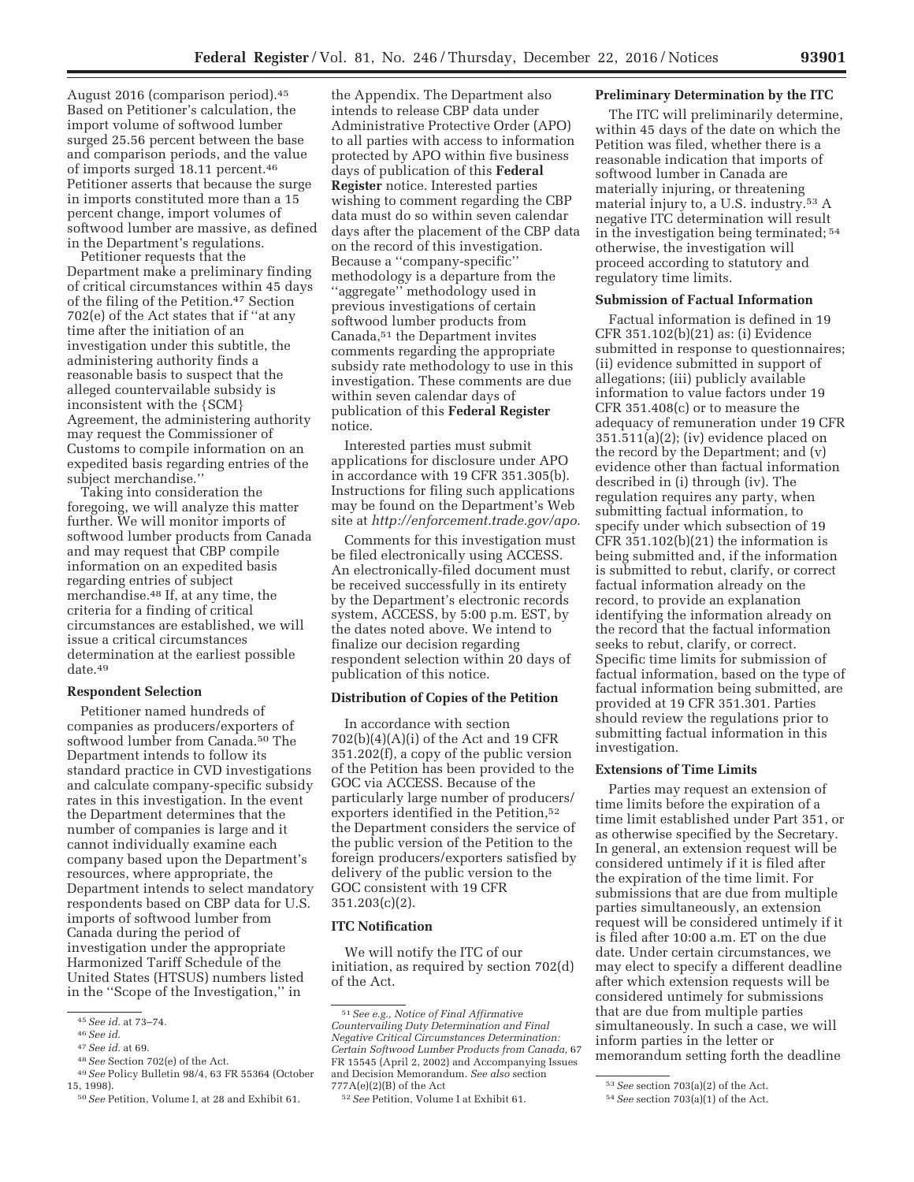August 2016 (comparison period).45 Based on Petitioner's calculation, the import volume of softwood lumber surged 25.56 percent between the base and comparison periods, and the value of imports surged 18.11 percent.46 Petitioner asserts that because the surge in imports constituted more than a 15 percent change, import volumes of softwood lumber are massive, as defined in the Department's regulations.

Petitioner requests that the Department make a preliminary finding of critical circumstances within 45 days of the filing of the Petition.47 Section 702(e) of the Act states that if ''at any time after the initiation of an investigation under this subtitle, the administering authority finds a reasonable basis to suspect that the alleged countervailable subsidy is inconsistent with the {SCM} Agreement, the administering authority may request the Commissioner of Customs to compile information on an expedited basis regarding entries of the subject merchandise.''

Taking into consideration the foregoing, we will analyze this matter further. We will monitor imports of softwood lumber products from Canada and may request that CBP compile information on an expedited basis regarding entries of subject merchandise.48 If, at any time, the criteria for a finding of critical circumstances are established, we will issue a critical circumstances determination at the earliest possible date.49

### **Respondent Selection**

Petitioner named hundreds of companies as producers/exporters of softwood lumber from Canada.<sup>50</sup> The Department intends to follow its standard practice in CVD investigations and calculate company-specific subsidy rates in this investigation. In the event the Department determines that the number of companies is large and it cannot individually examine each company based upon the Department's resources, where appropriate, the Department intends to select mandatory respondents based on CBP data for U.S. imports of softwood lumber from Canada during the period of investigation under the appropriate Harmonized Tariff Schedule of the United States (HTSUS) numbers listed in the ''Scope of the Investigation,'' in

the Appendix. The Department also intends to release CBP data under Administrative Protective Order (APO) to all parties with access to information protected by APO within five business days of publication of this **Federal Register** notice. Interested parties wishing to comment regarding the CBP data must do so within seven calendar days after the placement of the CBP data on the record of this investigation. Because a ''company-specific'' methodology is a departure from the ''aggregate'' methodology used in previous investigations of certain softwood lumber products from Canada,51 the Department invites comments regarding the appropriate subsidy rate methodology to use in this investigation. These comments are due within seven calendar days of publication of this **Federal Register**  notice.

Interested parties must submit applications for disclosure under APO in accordance with 19 CFR 351.305(b). Instructions for filing such applications may be found on the Department's Web site at *http://enforcement.trade.gov/apo.* 

Comments for this investigation must be filed electronically using ACCESS. An electronically-filed document must be received successfully in its entirety by the Department's electronic records system, ACCESS, by 5:00 p.m. EST, by the dates noted above. We intend to finalize our decision regarding respondent selection within 20 days of publication of this notice.

## **Distribution of Copies of the Petition**

In accordance with section 702(b)(4)(A)(i) of the Act and 19 CFR 351.202(f), a copy of the public version of the Petition has been provided to the GOC via ACCESS. Because of the particularly large number of producers/ exporters identified in the Petition,<sup>52</sup> the Department considers the service of the public version of the Petition to the foreign producers/exporters satisfied by delivery of the public version to the GOC consistent with 19 CFR 351.203(c)(2).

# **ITC Notification**

We will notify the ITC of our initiation, as required by section 702(d) of the Act.

#### **Preliminary Determination by the ITC**

The ITC will preliminarily determine, within 45 days of the date on which the Petition was filed, whether there is a reasonable indication that imports of softwood lumber in Canada are materially injuring, or threatening material injury to, a U.S. industry.53 A negative ITC determination will result in the investigation being terminated; 54 otherwise, the investigation will proceed according to statutory and regulatory time limits.

#### **Submission of Factual Information**

Factual information is defined in 19 CFR 351.102(b)(21) as: (i) Evidence submitted in response to questionnaires; (ii) evidence submitted in support of allegations; (iii) publicly available information to value factors under 19 CFR 351.408(c) or to measure the adequacy of remuneration under 19 CFR  $351.511(a)(2)$ ; (iv) evidence placed on the record by the Department; and (v) evidence other than factual information described in (i) through (iv). The regulation requires any party, when submitting factual information, to specify under which subsection of 19  $CFR 351.102(b)(21)$  the information is being submitted and, if the information is submitted to rebut, clarify, or correct factual information already on the record, to provide an explanation identifying the information already on the record that the factual information seeks to rebut, clarify, or correct. Specific time limits for submission of factual information, based on the type of factual information being submitted, are provided at 19 CFR 351.301. Parties should review the regulations prior to submitting factual information in this investigation.

#### **Extensions of Time Limits**

Parties may request an extension of time limits before the expiration of a time limit established under Part 351, or as otherwise specified by the Secretary. In general, an extension request will be considered untimely if it is filed after the expiration of the time limit. For submissions that are due from multiple parties simultaneously, an extension request will be considered untimely if it is filed after 10:00 a.m. ET on the due date. Under certain circumstances, we may elect to specify a different deadline after which extension requests will be considered untimely for submissions that are due from multiple parties simultaneously. In such a case, we will inform parties in the letter or memorandum setting forth the deadline

<sup>45</sup>*See id.* at 73–74. 46*See id.* 

<sup>&</sup>lt;sup>48</sup> See Section 702(e) of the Act.<br><sup>49</sup> See Policy Bulletin 98/4, 63 FR 55364 (October 15. 1998).

<sup>&</sup>lt;sup>50</sup> See Petition, Volume I, at 28 and Exhibit 61.

<sup>51</sup>*See e.g., Notice of Final Affirmative Countervailing Duty Determination and Final Negative Critical Circumstances Determination: Certain Softwood Lumber Products from Canada,* 67 FR 15545 (April 2, 2002) and Accompanying Issues and Decision Memorandum. *See also* section  $777A(e)(2)(B)$  of the Act

<sup>52</sup>*See* Petition, Volume I at Exhibit 61.

<sup>53</sup>*See* section 703(a)(2) of the Act.

<sup>54</sup>*See* section 703(a)(1) of the Act.